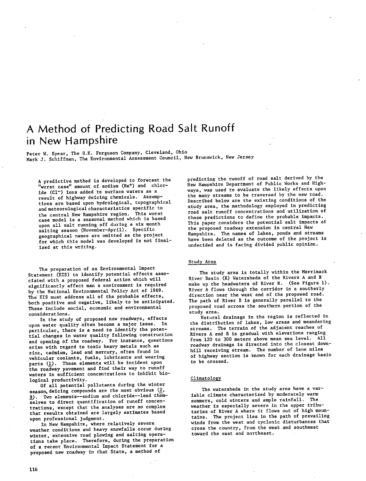# A Method of Predicting Road Salt Runoff in New Hampshire

Peter W. Spear, The H.K. Ferguson Company, Cleveland, Ohio Mark J. Schiffman, The Environmental Assessment Council, New Brunswick, New Jersey

A predictive method is developed to forecast the "worst amount of sodium (Na+) and chloride (C1<sup>-</sup>) ions added to surface waters as a result of highway deicing chemicals. Assumptions are based upon hydrological, topographical and meteorological characteristics specific to the central New Hampshire region. This worst case model is a seasonal method which is based upon all salt running off during a six month salting season (November-April). Specific geographical names are omitted as the project for which this model was developed is not finalized at this writing.

The preparation of an Environmental Impact Statement (EIS) to identify potential effects associated with a proposed federal action which will significantly affect man a environment is required by the National Environmental Policy Act of 1969. The EIS must address all of the probable effects, both positive and negative, likely to be anticipated. These include social, economic and environmental considerations.

In the study of proposed new roadways, effects upon water quality often become a major issue. In particular, there is a need to identify the potential changes in water quality following construction and opening of the roadway. For instance, questions arise with regard to toxic heavy metals such as zinc, cadmium, lead and mercury, often found in vehicular coolants, fuels, lubricants and wearing parts (1). These elements will be incident upon the roadway pavement and find their way to runoff waters in sufficient concentrations to inhibit biological productivity.

Of all potential pollutants during the winter season, deicing compounds are the most obvious (2, ). Two elements--sodium and chloride--lend themselves to direct quantification of runoff concentrations, except that the analyses are so complex that results obtained are largely estimates based upon professional judgment.

In New Hampshire, where relatively severe. weather conditions and heavy snowfalls occur during winter, extensive road plowing and salting operations take place. Therefore, during the preparation of a recent Environmental Impact Statement for a proposed new roadway in that State, a method of

predicting the runoff of road salt derived by the New Hampshire Department of Public Works and Highways, was used to evaluate the likely effects upon the many streams to be traversed by the new road. Described below are the existing conditions of the study area, the methodology employed in predicting road salt runoff concentrations and utilization of those predictions to define the probable impacts. This paper considers the potential salt impacts of the proposed roadway extension in central New Hampshire. The names of lakes, ponds and streams have been deleted as the outcome of the project is undecided and is facing divided public opinion.

#### Study Area

The study area is totally within the Merrimack River Basin (R) Watersheds of the Rivers A and W make up the headwaters of River R. (See Figure 1). River A flows through the corridor in a southerly direction near the west end of the proposed road. The path of River B is generally parallel to the proposed road across the southern portion of the study area.

Natural drainage in the region is reflected in the distribution of lakes, low areas and meandering streams. The terrain of the adjacent reaches of Rivers A and B is gradual with elevations ranging from 120 to 300 meters above mean sea level. All roadway drainage is directed into the closest downhill receiving stream. The number of lane milea of highway section is known for each drainage basin to be crossed.

#### Climatology

The watersheds in the study area have a variable climate characterized by moderately warm summers, cold winters and ample rainfall. The weather is especially severe in the upper tributaries of River A where it flows out of high mountains. The project lies in the path of prevailing winds from the west and cyclonic disturbances that cross the country, from the west and southwest toward the east and northeast.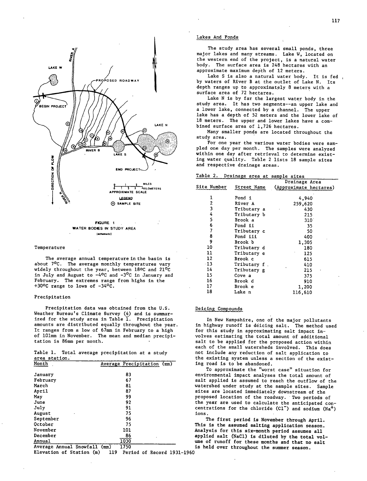

(achematic)

#### Temperature

The average annual temperature in the basin is about 70C. The average monthly temperatures vary widely throughout the year, between 18ºC and 21°C in July and August to  $-4^{\circ}$ C and  $-3^{\circ}$ C in January and February. The extremes range from highs in the +30 $^{\circ}$ C range to lows of  $-34$  $^{\circ}$ C.

#### Precipitation

Precipitation data was obtained from the U.S. Weather Bureau's Climate Survey (4) and is summarized for the study area in Table  $\overline{1}$ . Precipitation amounts are distributed equally throughout the year It ranges from a low of 67mm in February to a high of 101mm in November. The mean and median precipitation is 86mm per month.

Table 1. Total average precipitation at a study area station.

| Month                   | Average Precipitation (mm) |
|-------------------------|----------------------------|
| January                 | 83                         |
| February                | 67                         |
| March                   | 81                         |
| April                   | 87                         |
| May                     | 99                         |
| June                    | 92                         |
| July                    | 91                         |
| August                  | 75                         |
| September               | 96                         |
| October                 | 75                         |
| November                | 101                        |
| December                | 86                         |
| Annual                  | 1030                       |
| Average Annual Snowfall | 1750<br>(m <sub>m</sub> )  |

Elevation of Station (m) 119 Period of Record 1931–1960

#### Lakes And Ponds

The study area has several small ponds, three major lakes and many streams. Lake W, located on the western end of the project, is a natural water body. The surface area is 248 hectares with an approximate maximum depth of 12 meters.

Lake S is also a natural water body. It is fed, by waters of River B at the outlet of Lake N. Its depth ranges up to approximately 8 meters with a surface area of 72 hectares.

Lake N is by far the largest water body in the study area. It has two segments--an upper lake and a lower lake, connected by a channel. The upper lake has a depth of 52 meters and the lower lake of 18 meters. The upper and lower lakes have a combined surface area of 1,726 hectares.

Many smaller ponds are located throughout the study area.

For one year the various water bodies were sampled one day per month. The samples were analyzed within one day after retrieval to determine existing water quality. Table 2 lists 18 sample sites and respective drainage areas.

| Table 2. |  |  |  | Drainage area at sample sites |  |
|----------|--|--|--|-------------------------------|--|
|          |  |  |  |                               |  |

|                    |              | Drainage Area          |
|--------------------|--------------|------------------------|
| <b>Site Number</b> | Street Name  | (Approximate hectares) |
|                    |              |                        |
| 1                  | Pond 1       | 4,940                  |
| 2                  | River A      | 259,620                |
| 3                  | Tributary a  | 430                    |
| 4                  | Tributary b  | 215                    |
| 5                  | Brook a      | $310^{\circ}$          |
| 6                  | Pond ii      | 35                     |
| 7                  | Tributary c  | 50                     |
| 8                  | Pond iii     | 400                    |
| 9                  | Brook b      | 1,305                  |
| 10                 | Tributary d  | 180                    |
| 11                 | Tributary e  | 125                    |
| 12                 | Brook c      | 615                    |
| $-13$              | Tributary f. | 410                    |
| 14                 | Tributary g  | 215                    |
| 15                 | Cove a       | 375                    |
| 16                 | Brook d      | 910                    |
| 17                 | Brook e      | 1,200                  |
| 18                 | Lake n       | 116,610                |
|                    |              |                        |

### Deicing Compounds

In New Hampshire, one of the major pollutants in highway runoff is déicing salt. The method used for this study in approximating salt impact involves estimating the total amount of additional salt to be applied for the proposed action within each of the small watersheds involved. This does not include any reduction of salt application to the existing system unless a section of the existing road is to be abandoned.

To approximate the "worst case" situation for environmental impact analyses the total amount of salt applied is assumed to reach the outflow of the watershed under study at the sample sites. Sample sites are located immediately downstream of the proposed location of the roadway. Two periods of the year are used to calculate the anticipated concentrations for the chloride  $(Cl<sup>-</sup>)$  and sodium  $(Na<sup>+</sup>)$ ions.

The first period is November through April. This is the assumed salting application season. Analysis for this six-month period assumes all applied salt (NaCl) is diluted by the total volume of runoff for these months and that no salt is held over throughout the summer season.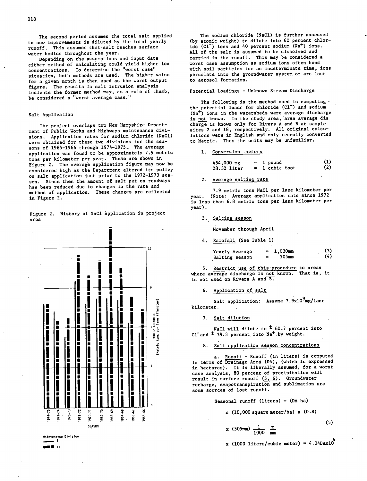The second period assumes the total salt applied to new improvements is diluted by the total yearly runoff. This assumes that salt reaches surface water bodies throughout the year.

Depending on the assumptions and input data either method of calculating could yield higher ion concentrations. To determine the "worst case" situation, both methods are used. The higher value for a given month is then used as the worst output figure. The results in salt intrusion analysis indicate the former method may, as a rule of thumb, be considered a "worst average case."

#### Salt Application

The project overlaps two New Hampshire Department of Public Works and Highways maintenance divisions. Application rates for sodium chloride (NaCl) were obtained for these two divisions for the seasons of 1965-1966 through 1974-1975.. The average application was found to be approximately 7.9 metric tons per kilometer per year. These are shown in Figure 2. The average application figure may now be considered high as the Department altered its policy on salt application just prior to the 1972-1973 season. Since then the amount of salt put on roadways has been reduced due to changes in the rate and method of application. These changes are reflected in Figure 2.



Figure 2. History of NaCl application in project area

The sodium chloride (NaCl) is further assessed (by atomic weight) to dilute into 60 percent chloride (Cl<sup>-</sup>) ions and 40 percent sodium (Na<sup>+</sup>) ions. All of the salt is assumed to be dissolved and carried in the runoff. This may be considered a worst case assumption as sodium ions often bond with soil particles for an indeterminate time, ions percolate into the groundwater system or are lost to aerosol formation.

Potential Loadings - Unknown Stream Discharge

The following is the method used in computing  $\cdot$ the potential loads for chloride (C1<sup>-</sup>) and sodium (Na<sup>+</sup>) ions in the watersheds were average discharge is not known. In the study area, area average discharge is known only for Rivers A and B at sample sites 2 and 18, respectively. All original calculations were in English and only recently converted to Metric. Thus the units may be unfamiliar.

1. Conversion factors

| $454,000$ mg |                | 1 pound      | (1) |
|--------------|----------------|--------------|-----|
| ,28.32 liter | $\blacksquare$ | 1 cubic foot | (2) |

#### 2. Average salting rate

7.9 metric tons NaCl per lane kilometer per year. (Note: Average application rate since 1972 is less than 6.8 metric tons per lane kilometer per year).

3. Salting season

November through April

Rainfall (See Table 1)

| Yearly Average |   | $1,030$ mm | (3) |
|----------------|---|------------|-----|
| Salting season | 霊 | 505mm      | (4) |

5. Restrict use of this procedure to areas where average discharge is not known. That is, it is not used on Rivers A and B.

6. Application of salt

Salt application: Assume 7.9x10<sup>9</sup>mg/lane kilometer.

7. Salt dilution

NaCl will dilute to  $\pm$  60.7 percent into  $CI$ <sup>+</sup> and <sup>+</sup> 39.3 percent into Na<sup>+</sup> by weight.

# 8. Salt application season concentrations

a. Runoff - Runoff (in liters) is computed in terms of Drainage Area (DA), (which is expressed in hectares). It is liberally assumed, for a worst case analysis, 80 percent of precipitation will result in surface runoff  $(5, 6)$ . Groundwater recharge, evapotranspiration and sublimation are some sources of lost runoff.

Seasonal runoff  $(liters) = (DA ha)$ 

 $x (505mm) \frac{1}{1000} m m$ 

 $x$  (10,000 square meter/ha)  $x$  (0.8)

(5)

**\_. II** 

x (1000 liters/cubic meter) =  $4.04DAx10^{\circ}$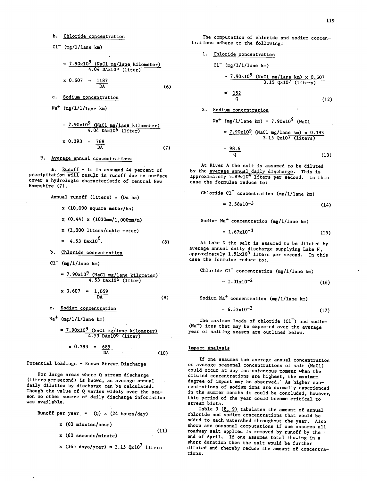b. Chloride concentration

$$
Cl^{-} (mg/l/lane km)
$$

$$
= \frac{7.90 \times 10^{9} \text{ (NaCl mg/lane kilometer)}}{4.04 \text{ DAx10}^{6} \text{ (liter)}}
$$
  
x 0.607 =  $\frac{1187}{DA}$  (6)

Sodium concentration

$$
\texttt{Na}^+ \texttt{(mg/1/1/1} \texttt{ane km)}
$$

$$
= \frac{7.90 \times 10^{9} \text{ (NaCl mg/lane kilometer)}}{4.04 \text{ DAx10} (liter)}
$$
  
x 0.393 =  $\frac{768}{DA}$  (7)

## 9. Average annual concentrations

a. Runoff - It is assumed 44 percent of precipitation will result in runoff due to surface cover a hydrologic characteristic of central New Hampshire (7).

Annual runoff (liters) = (Da ha) x (10,000 square meter/ha) x (0.44) x (1030mm/1,000mm/m) x (1,000 liters/cubic meter) 4.53 DAx1O6. Chloride concentration

$$
Cl^{-} (mg/1/1ane \text{ km})
$$

$$
= \frac{7.90x10^{9} (NaCl mg/lane kilometer)}{4.53 DAx10^{6} (liter)}
$$
  
x 0.607 =  $\frac{1.059}{DA}$  (9)

- C. Sodium concentration
- $Na<sup>+</sup>$  (mg/1/1/lane km)

$$
= \frac{7.90 \times 10^{9} \text{ (NaCl mg/lane kilometer)}}{4.53 \text{ DAx10} \cdot (11 \text{ter})}
$$
  
 
$$
\times 0.393 = \frac{685}{\text{DA}}
$$
 (10)

Potential Loadings - Known Stream Discharge

For large areas where Q stream discharge (liters per second) is known, an average annual daily dilution by discharge can be calculated. Though the value of Q varies widely over the season no other source of daily discharge information was available.

Runoff per year = (Q) x (24 hours/day)  
\nx (60 minutes/hour)  
\nx (60 seconds/minute)  
\nx (365 days/year) = 3.15 
$$
Qx10^7
$$
 liters

The computation of chloride and sodium concentrations adhere to the following:

| Chloride concentration                         |
|------------------------------------------------|
| $CI^-$ (mg/1/1/1ane km)                        |
| $= 7.90 \times 10^9$ (NaCl mg/1ane km) x 0.607 |
| $= 3.15$ Qx10 <sup>7</sup> (liters)            |
| $= \frac{152}{Q}$                              |
| Sodium concentration                           |

Sodium concentration

 $\mathbf{1}$ 

Na (mg/l/lane km) = 7.90x109 (NaCl 7.90xl09 (NaCl mg/lane km) x 0.393

$$
3.15 \text{ Qx107 (liters)}
$$
  
=  $\frac{98.6}{Q}$  (13)

At River A the salt is assumed to be diluted by the <u>average annual daily discharge</u>. This is<br>approximately 5.89x10<sup>4</sup> liters per second. In this case the formulae reduce to:

Chloride Cl<sup>-</sup> concentration (mg/l/lane km)

\n
$$
= 2.58 \times 10^{-3}
$$
\n(14)

$$
f_{\rm{max}}(x)=\frac{1}{2}x
$$

Sodium Na+ concentration (mg/l/lane km)  $\ddot{\phantom{a}}$ 

$$
= 1.67 \times 10^{-3}
$$
 (15)

At Lake N the salt is assumed to be diluted by average annual daily discharge supplying Lake N, approximately 1.51x10" liters per second. In this case the formulae reduce to:.

Chloride Cl concentration (mg/l/lane km) -

$$
= 1.01 \times 10^{-2}
$$
 (16)

Sodium  $Na<sup>+</sup>$  concentration (mg/l/lane km)

$$
= 6.53 \times 10^{-3}
$$
 (17)

: C1<sup>-</sup> concentration (mg/1/lane km)<br>
=  $1.01 \times 10^{-2}$  (16)<br>
a<sup>+</sup> concentration (mg/1/lane km)<br>
=  $6.53 \times 10^{-3}$  (17)<br>
mum loads of chloride (C1<sup>-</sup>) and sodium The maximum loads of chloride  $(C1^-)$  and sodium (Na+) ions that may be expected over the average year of salting season are outlined below.

#### Impact Analysis

If one assumes the average annual concentration or average seasonal concentrations of salt (NaCl) could occur at any instantaneous moment when the diluted concentrations are highest, the maximum degree of impact may be observed.' As higher concentrations of sodium ions are normally experienced in the summer months it could be concluded, however, this period of the year could become critical to stream biota.

Table 3  $(8, 9)$  tabulates the amount of annual chloride and sodium concentrations that could be added to each watershed throughout the year. Also shown are seasonal computations if one assumes all roadway salt applied is removed by runoff by the end of April. If one assumes total thawing in a short duration then the salt would be further diluted and thereby reduce the amount of concentrations.